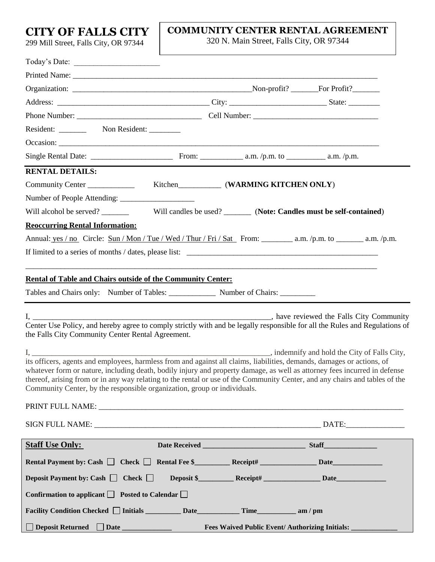**CITY OF FALLS CITY** 

299 Mill Street, Falls City, OR 97344

## **COMMUNITY CENTER RENTAL AGREEMENT**

320 N. Main Street, Falls City, OR 97344

| Resident: __________ Non Resident: ________                                                                                                                                                             |                                                       |                                                   |
|---------------------------------------------------------------------------------------------------------------------------------------------------------------------------------------------------------|-------------------------------------------------------|---------------------------------------------------|
|                                                                                                                                                                                                         |                                                       |                                                   |
|                                                                                                                                                                                                         |                                                       |                                                   |
| <b>RENTAL DETAILS:</b>                                                                                                                                                                                  |                                                       |                                                   |
| Community Center _______________ Kitchen____________ (WARMING KITCHEN ONLY)                                                                                                                             |                                                       |                                                   |
|                                                                                                                                                                                                         |                                                       |                                                   |
|                                                                                                                                                                                                         |                                                       |                                                   |
| <b>Reoccurring Rental Information:</b>                                                                                                                                                                  |                                                       |                                                   |
| Annual: $yes / no$ Circle: Sun / Mon / Tue / Wed / Thur / Fri / Sat From: a.m. / p.m. to _________ a.m. / p.m.                                                                                          |                                                       |                                                   |
|                                                                                                                                                                                                         |                                                       |                                                   |
|                                                                                                                                                                                                         |                                                       |                                                   |
| <b>Rental of Table and Chairs outside of the Community Center:</b>                                                                                                                                      |                                                       |                                                   |
| Tables and Chairs only: Number of Tables: Number of Chairs: Number of Chairs:                                                                                                                           |                                                       |                                                   |
|                                                                                                                                                                                                         |                                                       |                                                   |
| $\mathbf{I}$ ,                                                                                                                                                                                          |                                                       | _________, have reviewed the Falls City Community |
| Center Use Policy, and hereby agree to comply strictly with and be legally responsible for all the Rules and Regulations of<br>the Falls City Community Center Rental Agreement.                        |                                                       |                                                   |
|                                                                                                                                                                                                         |                                                       |                                                   |
| its officers, agents and employees, harmless from and against all claims, liabilities, demands, damages or actions, of                                                                                  |                                                       | , indemnify and hold the City of Falls City,      |
| whatever form or nature, including death, bodily injury and property damage, as well as attorney fees incurred in defense                                                                               |                                                       |                                                   |
| thereof, arising from or in any way relating to the rental or use of the Community Center, and any chairs and tables of the<br>Community Center, by the responsible organization, group or individuals. |                                                       |                                                   |
|                                                                                                                                                                                                         |                                                       |                                                   |
|                                                                                                                                                                                                         |                                                       |                                                   |
|                                                                                                                                                                                                         |                                                       |                                                   |
| <b>Staff Use Only:</b>                                                                                                                                                                                  |                                                       |                                                   |
| Rental Payment by: Cash □ Check □ Rental Fee \$ Receipt# Date Date Date                                                                                                                                 |                                                       |                                                   |
| Deposit Payment by: Cash $\Box$ Check $\Box$                                                                                                                                                            |                                                       |                                                   |
| Confirmation to applicant $\Box$ Posted to Calendar $\Box$                                                                                                                                              |                                                       |                                                   |
|                                                                                                                                                                                                         |                                                       |                                                   |
|                                                                                                                                                                                                         |                                                       |                                                   |
| □ Deposit Returned □ Date _____________                                                                                                                                                                 | Fees Waived Public Event/ Authorizing Initials: _____ |                                                   |